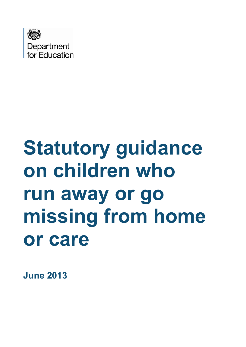

# **Statutory guidance on children who run away or go missing from home or care**

**June 2013**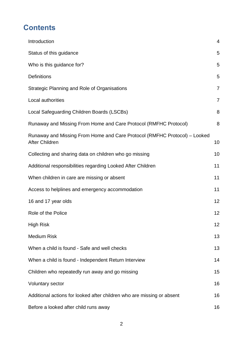# **Contents**

| Introduction                                                                                       | $\overline{4}$ |
|----------------------------------------------------------------------------------------------------|----------------|
| Status of this guidance                                                                            | 5              |
| Who is this guidance for?                                                                          | 5              |
| <b>Definitions</b>                                                                                 | 5              |
| Strategic Planning and Role of Organisations                                                       | $\overline{7}$ |
| Local authorities                                                                                  | $\overline{7}$ |
| Local Safeguarding Children Boards (LSCBs)                                                         | 8              |
| Runaway and Missing From Home and Care Protocol (RMFHC Protocol)                                   | 8              |
| Runaway and Missing From Home and Care Protocol (RMFHC Protocol) – Looked<br><b>After Children</b> | 10             |
| Collecting and sharing data on children who go missing                                             | 10             |
| Additional responsibilities regarding Looked After Children                                        | 11             |
| When children in care are missing or absent                                                        | 11             |
| Access to helplines and emergency accommodation                                                    | 11             |
| 16 and 17 year olds                                                                                | 12             |
| Role of the Police                                                                                 | 12             |
| <b>High Risk</b>                                                                                   | 12             |
| <b>Medium Risk</b>                                                                                 | 13             |
| When a child is found - Safe and well checks                                                       | 13             |
| When a child is found - Independent Return Interview                                               | 14             |
| Children who repeatedly run away and go missing                                                    | 15             |
| <b>Voluntary sector</b>                                                                            | 16             |
| Additional actions for looked after children who are missing or absent                             | 16             |
| Before a looked after child runs away                                                              | 16             |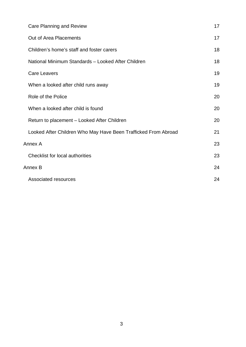|         | <b>Care Planning and Review</b>                                | 17 |
|---------|----------------------------------------------------------------|----|
|         | Out of Area Placements                                         | 17 |
|         | Children's home's staff and foster carers                      | 18 |
|         | National Minimum Standards - Looked After Children             | 18 |
|         | <b>Care Leavers</b>                                            | 19 |
|         | When a looked after child runs away                            | 19 |
|         | Role of the Police                                             | 20 |
|         | When a looked after child is found                             | 20 |
|         | Return to placement - Looked After Children                    | 20 |
|         | Looked After Children Who May Have Been Trafficked From Abroad | 21 |
| Annex A |                                                                | 23 |
|         | <b>Checklist for local authorities</b>                         | 23 |
| Annex B |                                                                | 24 |
|         | Associated resources                                           | 24 |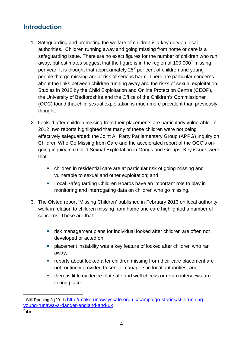# <span id="page-3-0"></span>**Introduction**

- 1. Safeguarding and promoting the welfare of children is a key duty on local authorities. Children running away and going missing from home or care is a safeguarding issue. There are no exact figures for the number of children who run away, but estimates suggest that the figure is in the region of [1](#page-3-1)00,000<sup>1</sup> missing per year. It is thought that approximately  $25<sup>2</sup>$  $25<sup>2</sup>$  per cent of children and young people that go missing are at risk of serious harm. There are particular concerns about the links between children running away and the risks of sexual exploitation. Studies in 2012 by the Child Exploitation and Online Protection Centre (CEOP), the University of Bedfordshire and the Office of the Children's Commissioner (OCC) found that child sexual exploitation is much more prevalent than previously thought.
- 2. Looked after children missing from their placements are particularly vulnerable. In 2012, two reports highlighted that many of these children were not being effectively safeguarded: the Joint All Party Parliamentary Group (APPG) Inquiry on Children Who Go Missing from Care and the accelerated report of the OCC's ongoing inquiry into Child Sexual Exploitation in Gangs and Groups. Key issues were that:
	- children in residential care are at particular risk of going missing and vulnerable to sexual and other exploitation; and
	- Local Safeguarding Children Boards have an important role to play in monitoring and interrogating data on children who go missing.
- 3. The Ofsted report 'Missing Children' published in February 2013 on local authority work in relation to children missing from home and care highlighted a number of concerns. These are that:
	- **F** risk management plans for individual looked after children are often not developed or acted on;
	- placement instability was a key feature of looked after children who ran away;
	- **•** reports about looked after children missing from their care placement are not routinely provided to senior managers in local authorities; and
	- there is little evidence that safe and well checks or return interviews are taking place.

 $\overline{a}$ 

<span id="page-3-1"></span><sup>&</sup>lt;sup>1</sup> Still Running 3 (2011) [http://makerunawayssafe.org.uk/campaign-stories/still-running](http://makerunawayssafe.org.uk/campaign-stories/still-running-young-runaways-danger-england-and-uk)[young-runaways-danger-england-and-uk](http://makerunawayssafe.org.uk/campaign-stories/still-running-young-runaways-danger-england-and-uk)

<span id="page-3-2"></span> $2$  ibid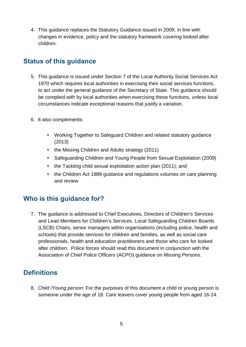4. This guidance replaces the Statutory Guidance issued in 2009, in line with changes in evidence, policy and the statutory framework covering looked after children.

### <span id="page-4-0"></span>**Status of this guidance**

- 5. This guidance is issued under Section 7 of the Local Authority Social Services Act 1970 which requires local authorities in exercising their social services functions, to act under the general guidance of the Secretary of State. This guidance should be complied with by local authorities when exercising these functions, unless local circumstances indicate exceptional reasons that justify a variation.
- 6. It also complements:
	- Working Together to Safeguard Children and related statutory guidance (2013)
	- the Missing Children and Adults strategy (2011)
	- Safeguarding Children and Young People from Sexual Exploitation (2009)
	- the Tackling child sexual exploitation action plan (2011); and
	- the Children Act 1989 guidance and regulations volumes on care planning and review

### <span id="page-4-1"></span>**Who is this guidance for?**

7. The guidance is addressed to Chief Executives, Directors of Children's Services and Lead Members for Children's Services. Local Safeguarding Children Boards (LSCB) Chairs, senior managers within organisations (including police, health and schools) that provide services for children and families, as well as social care professionals, health and education practitioners and those who care for looked after children. Police forces should read this document in conjunction with the Association of Chief Police Officers (ACPO) guidance on Missing Persons.

### <span id="page-4-2"></span>**Definitions**

8. *Child /Young person*: For the purposes of this document a child or young person is someone under the age of 18. Care leavers cover young people from aged 16-24.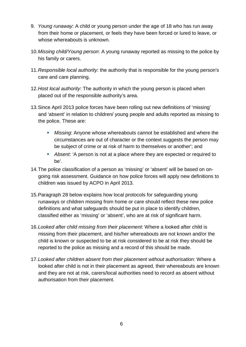- 9. *Young runaway*: A child or young person under the age of 18 who has run away from their home or placement, or feels they have been forced or lured to leave, or whose whereabouts is unknown.
- 10.*Missing child/Young person*: A young runaway reported as missing to the police by his family or carers.
- 11.*Responsible local authority*: the authority that is responsible for the young person's care and care planning.
- 12.*Host local authority*: The authority in which the young person is placed when placed out of the responsible authority's area.
- 13.Since April 2013 police forces have been rolling out new definitions of 'missing' and 'absent' in relation to children/ young people and adults reported as missing to the police. These are:
	- *Missing*: Anyone whose whereabouts cannot be established and where the circumstances are out of character or the context suggests the person may be subject of crime or at risk of harm to themselves or another'; and
	- *Absent*: 'A person is not at a place where they are expected or required to be'.
- 14.The police classification of a person as 'missing' or 'absent' will be based on ongoing risk assessment. Guidance on how police forces will apply new definitions to children was issued by ACPO in April 2013.
- 15.Paragraph 28 below explains how local protocols for safeguarding young runaways or children missing from home or care should reflect these new police definitions and what safeguards should be put in place to identify children, classified either as 'missing' or 'absent', who are at risk of significant harm.
- 16.*Looked after child missing from their placement:* Where a looked after child is missing from their placement, and his/her whereabouts are not known and/or the child is known or suspected to be at risk considered to be at risk they should be reported to the police as missing and a record of this should be made.
- 17.*Looked after children absent from their placement without authorisation:* Where a looked after child is not in their placement as agreed, their whereabouts are known and they are not at risk, carers/local authorities need to record as absent without authorisation from their placement.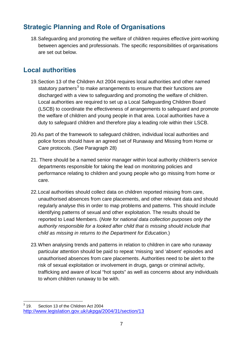# <span id="page-6-0"></span>**Strategic Planning and Role of Organisations**

18.Safeguarding and promoting the welfare of children requires effective joint-working between agencies and professionals. The specific responsibilities of organisations are set out below.

# <span id="page-6-1"></span>**Local authorities**

- 19.Section 13 of the Children Act 2004 requires local authorities and other named statutory partners<sup>[3](#page-6-2)</sup> to make arrangements to ensure that their functions are discharged with a view to safeguarding and promoting the welfare of children. Local authorities are required to set up a Local Safeguarding Children Board (LSCB) to coordinate the effectiveness of arrangements to safeguard and promote the welfare of children and young people in that area. Local authorities have a duty to safeguard children and therefore play a leading role within their LSCB.
- 20.As part of the framework to safeguard children, individual local authorities and police forces should have an agreed set of Runaway and Missing from Home or Care protocols. (See Paragraph 28)
- 21. There should be a named senior manager within local authority children's service departments responsible for taking the lead on monitoring policies and performance relating to children and young people who go missing from home or care.
- 22.Local authorities should collect data on children reported missing from care, unauthorised absences from care placements, and other relevant data and should regularly analyse this in order to map problems and patterns. This should include identifying patterns of sexual and other exploitation. The results should be reported to Lead Members. (*Note for national data collection purposes only the authority responsible for a looked after child that is missing should include that child as missing in returns to the Department for Education*.)
- 23.When analysing trends and patterns in relation to children in care who runaway particular attention should be paid to repeat 'missing 'and 'absent' episodes and unauthorised absences from care placements. Authorities need to be alert to the risk of sexual exploitation or involvement in drugs, gangs or criminal activity, trafficking and aware of local "hot spots" as well as concerns about any individuals to whom children runaway to be with.

<span id="page-6-2"></span> $3^{3}$  19 Section 13 of the Children Act 2004 http://www.legislation.gov.uk/ukpga/2004/31/section/13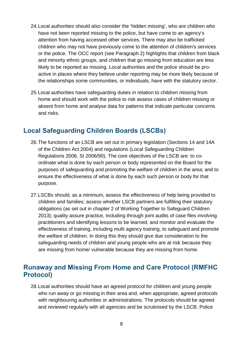- 24.Local authorities should also consider the 'hidden missing', who are children who have not been reported missing to the police, but have come to an agency's attention from having accessed other services. There may also be trafficked children who may not have previously come to the attention of children's services or the police. The OCC report (see Paragraph 2) highlights that children from black and minority ethnic groups, and children that go missing from education are less likely to be reported as missing. Local authorities and the police should be proactive in places where they believe under reporting may be more likely because of the relationships some communities, or individuals, have with the statutory sector.
- 25.Local authorities have safeguarding duties in relation to children missing from home and should work with the police to risk assess cases of children missing or absent from home and analyse data for patterns that indicate particular concerns and risks.

### <span id="page-7-0"></span>**Local Safeguarding Children Boards (LSCBs)**

- 26.The functions of an LSCB are set out in primary legislation (Sections 14 and 14A of the Children Act 2004) and regulations (Local Safeguarding Children Regulations 2006, SI 2006/90). The core objectives of the LSCB are: to coordinate what is done by each person or body represented on the Board for the purposes of safeguarding and promoting the welfare of children in the area; and to ensure the effectiveness of what is done by each such person or body for that purpose.
- 27.LSCBs should, as a minimum, assess the effectiveness of help being provided to children and families; assess whether LSCB partners are fulfilling their statutory obligations (as set out in chapter 2 of Working Together to Safeguard Children 2013); quality assure practice, including through joint audits of case files involving practitioners and identifying lessons to be learned; and monitor and evaluate the effectiveness of training, including multi agency training, to safeguard and promote the welfare of children. In doing this they should give due consideration to the safeguarding needs of children and young people who are at risk because they are missing from home/ vulnerable because they are missing from home.

### <span id="page-7-1"></span>**Runaway and Missing From Home and Care Protocol (RMFHC Protocol)**

28.Local authorities should have an agreed protocol for children and young people who run away or go missing in their area and, when appropriate, agreed protocols with neighbouring authorities or administrations. The protocols should be agreed and reviewed regularly with all agencies and be scrutinised by the LSCB. Police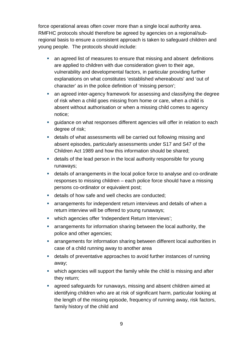force operational areas often cover more than a single local authority area. RMFHC protocols should therefore be agreed by agencies on a regional/subregional basis to ensure a consistent approach is taken to safeguard children and young people. The protocols should include:

- an agreed list of measures to ensure that missing and absent definitions are applied to children with due consideration given to their age, vulnerability and developmental factors, in particular providing further explanations on what constitutes 'established whereabouts' and 'out of character' as in the police definition of 'missing person';
- **an agreed inter-agency framework for assessing and classifying the degree** of risk when a child goes missing from home or care, when a child is absent without authorisation or when a missing child comes to agency notice;
- guidance on what responses different agencies will offer in relation to each degree of risk;
- details of what assessments will be carried out following missing and absent episodes, particularly assessments under S17 and S47 of the Children Act 1989 and how this information should be shared;
- details of the lead person in the local authority responsible for young runaways;
- details of arrangements in the local police force to analyse and co-ordinate responses to missing children – each police force should have a missing persons co-ordinator or equivalent post;
- details of how safe and well checks are conducted;
- arrangements for independent return interviews and details of when a return interview will be offered to young runaways;
- **•** which agencies offer 'Independent Return Interviews';
- arrangements for information sharing between the local authority, the police and other agencies;
- arrangements for information sharing between different local authorities in case of a child running away to another area
- details of preventative approaches to avoid further instances of running away;
- which agencies will support the family while the child is missing and after they return;
- agreed safeguards for runaways, missing and absent children aimed at identifying children who are at risk of significant harm, particular looking at the length of the missing episode, frequency of running away, risk factors, family history of the child and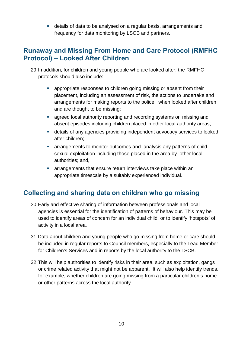details of data to be analysed on a regular basis, arrangements and frequency for data monitoring by LSCB and partners.

#### <span id="page-9-0"></span>**Runaway and Missing From Home and Care Protocol (RMFHC Protocol) – Looked After Children**

- 29.In addition, for children and young people who are looked after, the RMFHC protocols should also include:
	- **EXECT** appropriate responses to children going missing or absent from their placement, including an assessment of risk, the actions to undertake and arrangements for making reports to the police, when looked after children and are thought to be missing;
	- **a** agreed local authority reporting and recording systems on missing and absent episodes including children placed in other local authority areas;
	- details of any agencies providing independent advocacy services to looked after children;
	- arrangements to monitor outcomes and analysis any patterns of child sexual exploitation including those placed in the area by other local authorities; and,
	- arrangements that ensure return interviews take place within an appropriate timescale by a suitably experienced individual.

### <span id="page-9-1"></span>**Collecting and sharing data on children who go missing**

- 30.Early and effective sharing of information between professionals and local agencies is essential for the identification of patterns of behaviour. This may be used to identify areas of concern for an individual child, or to identify 'hotspots' of activity in a local area.
- 31. Data about children and young people who go missing from home or care should be included in regular reports to Council members, especially to the Lead Member for Children's Services and in reports by the local authority to the LSCB.
- 32.This will help authorities to identify risks in their area, such as exploitation, gangs or crime related activity that might not be apparent. It will also help identify trends, for example, whether children are going missing from a particular children's home or other patterns across the local authority.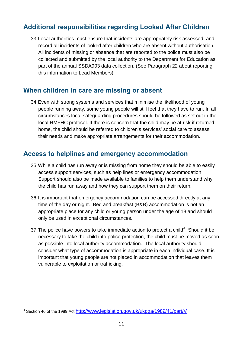# <span id="page-10-0"></span>**Additional responsibilities regarding Looked After Children**

33.Local authorities must ensure that incidents are appropriately risk assessed, and record all incidents of looked after children who are absent without authorisation. All incidents of missing or absence that are reported to the police must also be collected and submitted by the local authority to the Department for Education as part of the annual SSDA903 data collection. (See Paragraph 22 about reporting this information to Lead Members)

#### <span id="page-10-1"></span>**When children in care are missing or absent**

34.Even with strong systems and services that minimise the likelihood of young people running away, some young people will still feel that they have to run. In all circumstances local safeguarding procedures should be followed as set out in the local RMFHC protocol. If there is concern that the child may be at risk if returned home, the child should be referred to children's services' social care to assess their needs and make appropriate arrangements for their accommodation.

### <span id="page-10-2"></span>**Access to helplines and emergency accommodation**

- 35.While a child has run away or is missing from home they should be able to easily access support services, such as help lines or emergency accommodation. Support should also be made available to families to help them understand why the child has run away and how they can support them on their return.
- 36.It is important that emergency accommodation can be accessed directly at any time of the day or night. Bed and breakfast (B&B) accommodation is not an appropriate place for any child or young person under the age of 18 and should only be used in exceptional circumstances.
- 37. The police have powers to take immediate action to protect a child<sup>[4](#page-10-3)</sup>. Should it be necessary to take the child into police protection, the child must be moved as soon as possible into local authority accommodation. The local authority should consider what type of accommodation is appropriate in each individual case. It is important that young people are not placed in accommodation that leaves them vulnerable to exploitation or trafficking.

<span id="page-10-3"></span> $\overline{a}$ <sup>4</sup> Section 46 of the 1989 Act<http://www.legislation.gov.uk/ukpga/1989/41/part/V>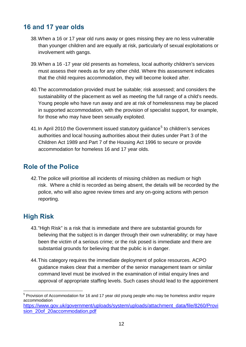# <span id="page-11-0"></span>**16 and 17 year olds**

- 38.When a 16 or 17 year old runs away or goes missing they are no less vulnerable than younger children and are equally at risk, particularly of sexual exploitations or involvement with gangs.
- 39.When a 16 -17 year old presents as homeless, local authority children's services must assess their needs as for any other child. Where this assessment indicates that the child requires accommodation, they will become looked after.
- 40.The accommodation provided must be suitable; risk assessed; and considers the sustainability of the placement as well as meeting the full range of a child's needs. Young people who have run away and are at risk of homelessness may be placed in supported accommodation, with the provision of specialist support, for example, for those who may have been sexually exploited.
- 41. In April 2010 the Government issued statutory guidance<sup>[5](#page-11-3)</sup> to children's services authorities and local housing authorities about their duties under Part 3 of the Children Act 1989 and Part 7 of the Housing Act 1996 to secure or provide accommodation for homeless 16 and 17 year olds.

### <span id="page-11-1"></span>**Role of the Police**

42.The police will prioritise all incidents of missing children as medium or high risk. Where a child is recorded as being absent, the details will be recorded by the police, who will also agree review times and any on-going actions with person reporting.

# <span id="page-11-2"></span>**High Risk**

- 43."High Risk" is a risk that is immediate and there are substantial grounds for believing that the subject is in danger through their own vulnerability; or may have been the victim of a serious crime; or the risk posed is immediate and there are substantial grounds for believing that the public is in danger.
- 44.This category requires the immediate deployment of police resources. ACPO guidance makes clear that a member of the senior management team or similar command level must be involved in the examination of initial enquiry lines and approval of appropriate staffing levels. Such cases should lead to the appointment

<span id="page-11-3"></span> $\overline{a}$  $<sup>5</sup>$  Provision of Accommodation for 16 and 17 year old young people who may be homeless and/or require</sup> accommodation

[https://www.gov.uk/government/uploads/system/uploads/attachment\\_data/file/8260/Provi](https://www.gov.uk/government/uploads/system/uploads/attachment_data/file/8260/Provision_20of_20accommodation.pdf) [sion\\_20of\\_20accommodation.pdf](https://www.gov.uk/government/uploads/system/uploads/attachment_data/file/8260/Provision_20of_20accommodation.pdf)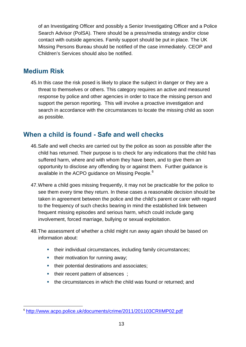of an Investigating Officer and possibly a Senior Investigating Officer and a Police Search Advisor (PolSA). There should be a press/media strategy and/or close contact with outside agencies. Family support should be put in place. The UK Missing Persons Bureau should be notified of the case immediately. CEOP and Children's Services should also be notified.

### <span id="page-12-0"></span>**Medium Risk**

45.In this case the risk posed is likely to place the subject in danger or they are a threat to themselves or others. This category requires an active and measured response by police and other agencies in order to trace the missing person and support the person reporting. This will involve a proactive investigation and search in accordance with the circumstances to locate the missing child as soon as possible.

#### <span id="page-12-1"></span>**When a child is found - Safe and well checks**

- 46.Safe and well checks are carried out by the police as soon as possible after the child has returned. Their purpose is to check for any indications that the child has suffered harm, where and with whom they have been, and to give them an opportunity to disclose any offending by or against them. Further guidance is available in the ACPO guidance on Missing People.<sup>[6](#page-12-2)</sup>
- 47.Where a child goes missing frequently, it may not be practicable for the police to see them every time they return. In these cases a reasonable decision should be taken in agreement between the police and the child's parent or carer with regard to the frequency of such checks bearing in mind the established link between frequent missing episodes and serious harm, which could include gang involvement, forced marriage, bullying or sexual exploitation.
- 48.The assessment of whether a child might run away again should be based on information about:
	- their individual circumstances, including family circumstances;
	- $\blacksquare$  their motivation for running away;
	- their potential destinations and associates;
	- their recent pattern of absences ;
	- **the circumstances in which the child was found or returned: and**

<span id="page-12-2"></span> $\overline{a}$ <sup>6</sup> <http://www.acpo.police.uk/documents/crime/2011/201103CRIIMP02.pdf>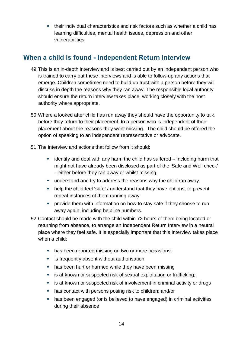their individual characteristics and risk factors such as whether a child has learning difficulties, mental health issues, depression and other vulnerabilities.

# <span id="page-13-0"></span>**When a child is found - Independent Return Interview**

- 49.This is an in-depth interview and is best carried out by an independent person who is trained to carry out these interviews and is able to follow-up any actions that emerge. Children sometimes need to build up trust with a person before they will discuss in depth the reasons why they ran away. The responsible local authority should ensure the return interview takes place, working closely with the host authority where appropriate.
- 50.Where a looked after child has run away they should have the opportunity to talk, before they return to their placement, to a person who is independent of their placement about the reasons they went missing. The child should be offered the option of speaking to an independent representative or advocate.
- 51.The interview and actions that follow from it should:
	- $\blacksquare$  identify and deal with any harm the child has suffered including harm that might not have already been disclosed as part of the 'Safe and Well check' – either before they ran away or whilst missing.
	- understand and try to address the reasons why the child ran away.
	- help the child feel 'safe' / understand that they have options, to prevent repeat instances of them running away
	- **•** provide them with information on how to stay safe if they choose to run away again, including helpline numbers.
- 52.Contact should be made with the child within 72 hours of them being located or returning from absence, to arrange an Independent Return Interview in a neutral place where they feel safe. It is especially important that this Interview takes place when a child:
	- has been reported missing on two or more occasions;
	- **EXTERN IS frequently absent without authorisation**
	- has been hurt or harmed while they have been missing
	- **EXECT** is at known or suspected risk of sexual exploitation or trafficking;
	- **EXTERN** is at known or suspected risk of involvement in criminal activity or drugs
	- **has contact with persons posing risk to children; and/or**
	- has been engaged (or is believed to have engaged) in criminal activities during their absence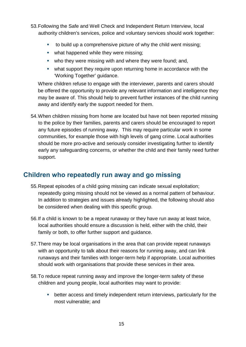- 53.Following the Safe and Well Check and Independent Return Interview, local authority children's services, police and voluntary services should work together:
	- to build up a comprehensive picture of why the child went missing;
	- what happened while they were missing;
	- who they were missing with and where they were found; and,
	- what support they require upon returning home in accordance with the 'Working Together' guidance.

Where children refuse to engage with the interviewer, parents and carers should be offered the opportunity to provide any relevant information and intelligence they may be aware of. This should help to prevent further instances of the child running away and identify early the support needed for them.

54.When children missing from home are located but have not been reported missing to the police by their families, parents and carers should be encouraged to report any future episodes of running away. This may require particular work in some communities, for example those with high levels of gang crime. Local authorities should be more pro-active and seriously consider investigating further to identify early any safeguarding concerns, or whether the child and their family need further support.

# <span id="page-14-0"></span>**Children who repeatedly run away and go missing**

- 55.Repeat episodes of a child going missing can indicate sexual exploitation; repeatedly going missing should not be viewed as a normal pattern of behaviour. In addition to strategies and issues already highlighted, the following should also be considered when dealing with this specific group.
- 56.If a child is known to be a repeat runaway or they have run away at least twice, local authorities should ensure a discussion is held, either with the child, their family or both, to offer further support and guidance.
- 57.There may be local organisations in the area that can provide repeat runaways with an opportunity to talk about their reasons for running away, and can link runaways and their families with longer-term help if appropriate. Local authorities should work with organisations that provide these services in their area.
- 58.To reduce repeat running away and improve the longer-term safety of these children and young people, local authorities may want to provide:
	- better access and timely independent return interviews, particularly for the most vulnerable; and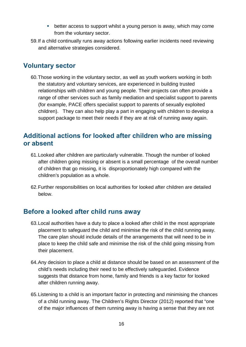- **•** better access to support whilst a young person is away, which may come from the voluntary sector.
- 59.If a child continually runs away actions following earlier incidents need reviewing and alternative strategies considered.

#### <span id="page-15-0"></span>**Voluntary sector**

60.Those working in the voluntary sector, as well as youth workers working in both the statutory and voluntary services, are experienced in building trusted relationships with children and young people. Their projects can often provide a range of other services such as family mediation and specialist support to parents (for example, PACE offers specialist support to parents of sexually exploited children). They can also help play a part in engaging with children to develop a support package to meet their needs if they are at risk of running away again.

#### <span id="page-15-1"></span>**Additional actions for looked after children who are missing or absent**

- 61.Looked after children are particularly vulnerable. Though the number of looked after children going missing or absent is a small percentage of the overall number of children that go missing, it is disproportionately high compared with the children's population as a whole.
- 62.Further responsibilities on local authorities for looked after children are detailed below.

# <span id="page-15-2"></span>**Before a looked after child runs away**

- 63.Local authorities have a duty to place a looked after child in the most appropriate placement to safeguard the child and minimise the risk of the child running away. The care plan should include details of the arrangements that will need to be in place to keep the child safe and minimise the risk of the child going missing from their placement.
- 64.Any decision to place a child at distance should be based on an assessment of the child's needs including their need to be effectively safeguarded. Evidence suggests that distance from home, family and friends is a key factor for looked after children running away.
- 65.Listening to a child is an important factor in protecting and minimising the chances of a child running away. The Children's Rights Director (2012) reported that "one of the major influences of them running away is having a sense that they are not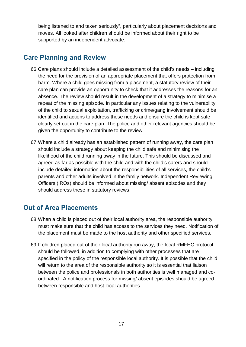being listened to and taken seriously", particularly about placement decisions and moves. All looked after children should be informed about their right to be supported by an independent advocate.

#### <span id="page-16-0"></span>**Care Planning and Review**

- 66.Care plans should include a detailed assessment of the child's needs including the need for the provision of an appropriate placement that offers protection from harm. Where a child goes missing from a placement, a statutory review of their care plan can provide an opportunity to check that it addresses the reasons for an absence. The review should result in the development of a strategy to minimise a repeat of the missing episode. In particular any issues relating to the vulnerability of the child to sexual exploitation, trafficking or crime/gang involvement should be identified and actions to address these needs and ensure the child is kept safe clearly set out in the care plan. The police and other relevant agencies should be given the opportunity to contribute to the review.
- 67.Where a child already has an established pattern of running away, the care plan should include a strategy about keeping the child safe and minimising the likelihood of the child running away in the future. This should be discussed and agreed as far as possible with the child and with the child's carers and should include detailed information about the responsibilities of all services, the child's parents and other adults involved in the family network. Independent Reviewing Officers (IROs) should be informed about missing/ absent episodes and they should address these in statutory reviews.

### <span id="page-16-1"></span>**Out of Area Placements**

- 68.When a child is placed out of their local authority area, the responsible authority must make sure that the child has access to the services they need. Notification of the placement must be made to the host authority and other specified services.
- 69.If children placed out of their local authority run away, the local RMFHC protocol should be followed, in addition to complying with other processes that are specified in the policy of the responsible local authority. It is possible that the child will return to the area of the responsible authority so it is essential that liaison between the police and professionals in both authorities is well managed and coordinated. A notification process for missing/ absent episodes should be agreed between responsible and host local authorities.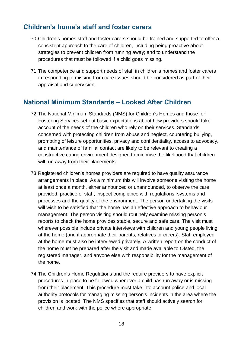#### <span id="page-17-0"></span>**Children's home's staff and foster carers**

- 70.Children's homes staff and foster carers should be trained and supported to offer a consistent approach to the care of children, including being proactive about strategies to prevent children from running away; and to understand the procedures that must be followed if a child goes missing.
- 71.The competence and support needs of staff in children's homes and foster carers in responding to missing from care issues should be considered as part of their appraisal and supervision.

#### <span id="page-17-1"></span>**National Minimum Standards – Looked After Children**

- 72.The National Minimum Standards (NMS) for Children's Homes and those for Fostering Services set out basic expectations about how providers should take account of the needs of the children who rely on their services. Standards concerned with protecting children from abuse and neglect, countering bullying, promoting of leisure opportunities, privacy and confidentiality, access to advocacy, and maintenance of familial contact are likely to be relevant to creating a constructive caring environment designed to minimise the likelihood that children will run away from their placements.
- 73.Registered children's homes providers are required to have quality assurance arrangements in place. As a minimum this will involve someone visiting the home at least once a month, either announced or unannounced, to observe the care provided, practice of staff, inspect compliance with regulations, systems and processes and the quality of the environment. The person undertaking the visits will wish to be satisfied that the home has an effective approach to behaviour management. The person visiting should routinely examine missing person's reports to check the home provides stable, secure and safe care. The visit must wherever possible include private interviews with children and young people living at the home (and if appropriate their parents, relatives or carers). Staff employed at the home must also be interviewed privately. A written report on the conduct of the home must be prepared after the visit and made available to Ofsted, the registered manager, and anyone else with responsibility for the management of the home.
- 74.The Children's Home Regulations and the require providers to have explicit procedures in place to be followed whenever a child has run away or is missing from their placement. This procedure must take into account police and local authority protocols for managing missing person's incidents in the area where the provision is located. The NMS specifies that staff should actively search for children and work with the police where appropriate.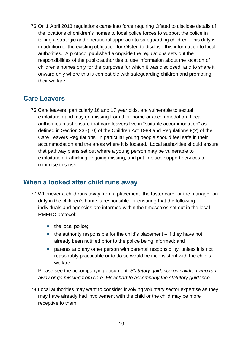75.On 1 April 2013 regulations came into force requiring Ofsted to disclose details of the locations of children's homes to local police forces to support the police in taking a strategic and operational approach to safeguarding children. This duty is in addition to the existing obligation for Ofsted to disclose this information to local authorities. A protocol published alongside the regulations sets out the responsibilities of the public authorities to use information about the location of children's homes only for the purposes for which it was disclosed; and to share it onward only where this is compatible with safeguarding children and promoting their welfare.

#### <span id="page-18-0"></span>**Care Leavers**

76.Care leavers, particularly 16 and 17 year olds, are vulnerable to sexual exploitation and may go missing from their home or accommodation. Local authorities must ensure that care leavers live in "suitable accommodation" as defined in Section 23B(10) of the Children Act 1989 and Regulations 9(2) of the Care Leavers Regulations. In particular young people should feel safe in their accommodation and the areas where it is located. Local authorities should ensure that pathway plans set out where a young person may be vulnerable to exploitation, trafficking or going missing, and put in place support services to minimise this risk.

#### <span id="page-18-1"></span>**When a looked after child runs away**

- 77.Whenever a child runs away from a placement, the foster carer or the manager on duty in the children's home is responsible for ensuring that the following individuals and agencies are informed within the timescales set out in the local RMFHC protocol:
	- $\blacksquare$  the local police;
	- $\blacksquare$  the authority responsible for the child's placement if they have not already been notified prior to the police being informed; and
	- parents and any other person with parental responsibility, unless it is not reasonably practicable or to do so would be inconsistent with the child's welfare.

Please see the accompanying document, *Statutory guidance on children who run away or go missing from care: Flowchart to accompany the statutory guidance.*

78.Local authorities may want to consider involving voluntary sector expertise as they may have already had involvement with the child or the child may be more receptive to them.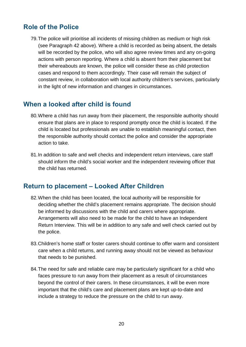#### <span id="page-19-0"></span>**Role of the Police**

79.The police will prioritise all incidents of missing children as medium or high risk (see Paragraph 42 above). Where a child is recorded as being absent, the details will be recorded by the police, who will also agree review times and any on-going actions with person reporting. Where a child is absent from their placement but their whereabouts are known, the police will consider these as child protection cases and respond to them accordingly. Their case will remain the subject of constant review, in collaboration with local authority children's services, particularly in the light of new information and changes in circumstances.

#### <span id="page-19-1"></span>**When a looked after child is found**

- 80.Where a child has run away from their placement, the responsible authority should ensure that plans are in place to respond promptly once the child is located. If the child is located but professionals are unable to establish meaningful contact, then the responsible authority should contact the police and consider the appropriate action to take.
- 81.In addition to safe and well checks and independent return interviews, care staff should inform the child's social worker and the independent reviewing officer that the child has returned.

#### <span id="page-19-2"></span>**Return to placement – Looked After Children**

- 82.When the child has been located, the local authority will be responsible for deciding whether the child's placement remains appropriate. The decision should be informed by discussions with the child and carers where appropriate. Arrangements will also need to be made for the child to have an Independent Return Interview. This will be in addition to any safe and well check carried out by the police.
- 83. Children's home staff or foster carers should continue to offer warm and consistent care when a child returns, and running away should not be viewed as behaviour that needs to be punished.
- 84.The need for safe and reliable care may be particularly significant for a child who faces pressure to run away from their placement as a result of circumstances beyond the control of their carers. In these circumstances, it will be even more important that the child's care and placement plans are kept up-to-date and include a strategy to reduce the pressure on the child to run away.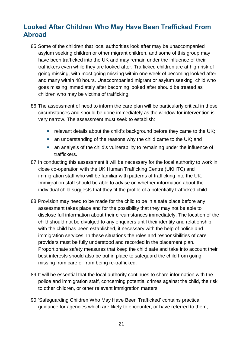# <span id="page-20-0"></span>**Looked After Children Who May Have Been Trafficked From Abroad**

- 85.Some of the children that local authorities look after may be unaccompanied asylum seeking children or other migrant children, and some of this group may have been trafficked into the UK and may remain under the influence of their traffickers even while they are looked after. Trafficked children are at high risk of going missing, with most going missing within one week of becoming looked after and many within 48 hours. Unaccompanied migrant or asylum seeking child who goes missing immediately after becoming looked after should be treated as children who may be victims of trafficking.
- 86.The assessment of need to inform the care plan will be particularly critical in these circumstances and should be done immediately as the window for intervention is very narrow. The assessment must seek to establish:
	- **•** relevant details about the child's background before they came to the UK;
	- an understanding of the reasons why the child came to the UK; and
	- an analysis of the child's vulnerability to remaining under the influence of traffickers.
- 87.In conducting this assessment it will be necessary for the local authority to work in close co-operation with the UK Human Trafficking Centre (UKHTC) and immigration staff who will be familiar with patterns of trafficking into the UK. Immigration staff should be able to advise on whether information about the individual child suggests that they fit the profile of a potentially trafficked child.
- 88.Provision may need to be made for the child to be in a safe place before any assessment takes place and for the possibility that they may not be able to disclose full information about their circumstances immediately. The location of the child should not be divulged to any enquirers until their identity and relationship with the child has been established, if necessary with the help of police and immigration services. In these situations the roles and responsibilities of care providers must be fully understood and recorded in the placement plan. Proportionate safety measures that keep the child safe and take into account their best interests should also be put in place to safeguard the child from going missing from care or from being re-trafficked.
- 89.It will be essential that the local authority continues to share information with the police and immigration staff, concerning potential crimes against the child, the risk to other children, or other relevant immigration matters.
- 90.'Safeguarding Children Who May Have Been Trafficked' contains practical guidance for agencies which are likely to encounter, or have referred to them,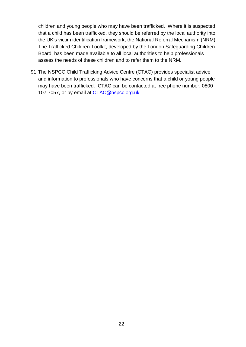children and young people who may have been trafficked. Where it is suspected that a child has been trafficked, they should be referred by the local authority into the UK's victim identification framework, the National Referral Mechanism (NRM). The Trafficked Children Toolkit, developed by the London Safeguarding Children Board, has been made available to all local authorities to help professionals assess the needs of these children and to refer them to the NRM.

91.The NSPCC Child Trafficking Advice Centre (CTAC) provides specialist advice and information to professionals who have concerns that a child or young people may have been trafficked. CTAC can be contacted at free phone number: 0800 107 7057, or by email at [CTAC@nspcc.org.uk.](mailto:CTAC@nspcc.org.uk)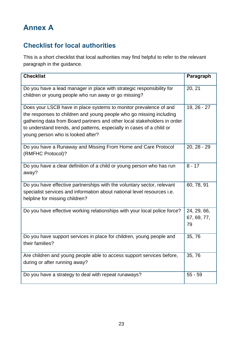# <span id="page-22-0"></span>**Annex A**

# <span id="page-22-1"></span>**Checklist for local authorities**

This is a short checklist that local authorities may find helpful to refer to the relevant paragraph in the guidance.

| <b>Checklist</b>                                                                                                                                                                                                                                                                                                                   | Paragraph                        |
|------------------------------------------------------------------------------------------------------------------------------------------------------------------------------------------------------------------------------------------------------------------------------------------------------------------------------------|----------------------------------|
| Do you have a lead manager in place with strategic responsibility for<br>children or young people who run away or go missing?                                                                                                                                                                                                      | 20, 21                           |
| Does your LSCB have in place systems to monitor prevalence of and<br>the responses to children and young people who go missing including<br>gathering data from Board partners and other local stakeholders in order<br>to understand trends, and patterns, especially in cases of a child or<br>young person who is looked after? | 19, 26 - 27                      |
| Do you have a Runaway and Missing From Home and Care Protocol<br>(RMFHC Protocol)?                                                                                                                                                                                                                                                 | $20, 28 - 29$                    |
| Do you have a clear definition of a child or young person who has run<br>away?                                                                                                                                                                                                                                                     | $8 - 17$                         |
| Do you have effective partnerships with the voluntary sector, relevant<br>specialist services and information about national level resources i.e.<br>helpline for missing children?                                                                                                                                                | 60, 78, 91                       |
| Do you have effective working relationships with your local police force?                                                                                                                                                                                                                                                          | 24, 29, 66,<br>67, 69, 77,<br>79 |
| Do you have support services in place for children, young people and<br>their families?                                                                                                                                                                                                                                            | 35,76                            |
| Are children and young people able to access support services before,<br>during or after running away?                                                                                                                                                                                                                             | 35,76                            |
| Do you have a strategy to deal with repeat runaways?                                                                                                                                                                                                                                                                               | $55 - 59$                        |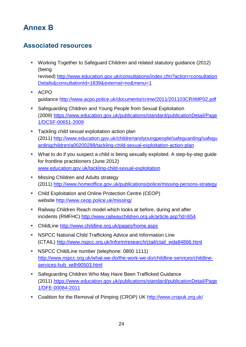# <span id="page-23-0"></span>**Annex B**

# <span id="page-23-1"></span>**Associated resources**

- Working Together to Safeguard Children and related statutory guidance (2012) (being revised) [http://www.education.gov.uk/consultations/index.cfm?action=consultation](http://www.education.gov.uk/consultations/index.cfm?action=consultationDetails&consultationId=1839&external=no&menu=1) [Details&consultationId=1839&external=no&menu=1](http://www.education.gov.uk/consultations/index.cfm?action=consultationDetails&consultationId=1839&external=no&menu=1)
- ACPO guidance<http://www.acpo.police.uk/documents/crime/2011/201103CRIIMP02.pdf>
- Safeguarding Children and Young People from Sexual Exploitation (2009) [https://www.education.gov.uk/publications/standard/publicationDetail/Page](https://www.education.gov.uk/publications/standard/publicationDetail/Page1/DCSF-00651-2009) [1/DCSF-00651-2009](https://www.education.gov.uk/publications/standard/publicationDetail/Page1/DCSF-00651-2009)
- **Tackling child sexual exploitation action plan** (2011) [http://www.education.gov.uk/childrenandyoungpeople/safeguarding/safegu](http://www.education.gov.uk/childrenandyoungpeople/safeguarding/safeguardingchildren/a00200288/tackling-child-sexual-exploitation-action-plan) [ardingchildren/a00200288/tackling-child-sexual-exploitation-action-plan](http://www.education.gov.uk/childrenandyoungpeople/safeguarding/safeguardingchildren/a00200288/tackling-child-sexual-exploitation-action-plan)
- What to do if you suspect a child is being sexually exploited. A step-by-step guide for frontline practitioners (June 2012) [www.education.gov.uk/tackling-child-sexual-exploitation](http://www.education.gov.uk/tackling-child-sexual-exploitation)
- **Missing Children and Adults strategy** (2011)<http://www.homeoffice.gov.uk/publications/police/missing-persons-strategy>
- Child Exploitation and Online Protection Centre (CEOP) website <http://www.ceop.police.uk/missing/>
- Railway Children Reach model which looks at before, during and after incidents (RMFHC) <http://www.railwaychildren.org.uk/article.asp?id=654>
- ChildLine <http://www.childline.org.uk/pages/home.aspx>
- **NSPCC National Child Trafficking Advice and Information Line** (CTAIL) [http://www.nspcc.org.uk/Inform/research/ctail/ctail\\_wda84866.html](http://www.nspcc.org.uk/Inform/research/ctail/ctail_wda84866.html)
- **NSPCC ChildLine number (telephone: 0800 1111)** [http://www.nspcc.org.uk/what-we-do/the-work-we-do/childline-services/childline](http://www.nspcc.org.uk/what-we-do/the-work-we-do/childline-services/childline-services-hub_wdh90503.html)[services-hub\\_wdh90503.html](http://www.nspcc.org.uk/what-we-do/the-work-we-do/childline-services/childline-services-hub_wdh90503.html)
- Safeguarding Children Who May Have Been Trafficked Guidance (2011) [https://www.education.gov.uk/publications/standard/publicationDetail/Page](https://www.education.gov.uk/publications/standard/publicationDetail/Page1/DFE-00084-2011) [1/DFE-00084-2011](https://www.education.gov.uk/publications/standard/publicationDetail/Page1/DFE-00084-2011)
- Coalition for the Removal of Pimping (CROP) UK http://www.cropuk.org.uk/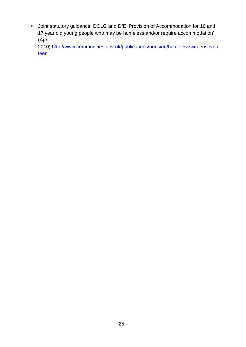Joint statutory guidance, DCLG and DfE 'Provision of Accommodation for 16 and 17 year old young people who may be homeless and/or require accommodation' (April

2010) [http://www.communities.gov.uk/publications/housing/homelesssixteenseven](http://www.communities.gov.uk/publications/housing/homelesssixteenseventeen) [teen](http://www.communities.gov.uk/publications/housing/homelesssixteenseventeen)